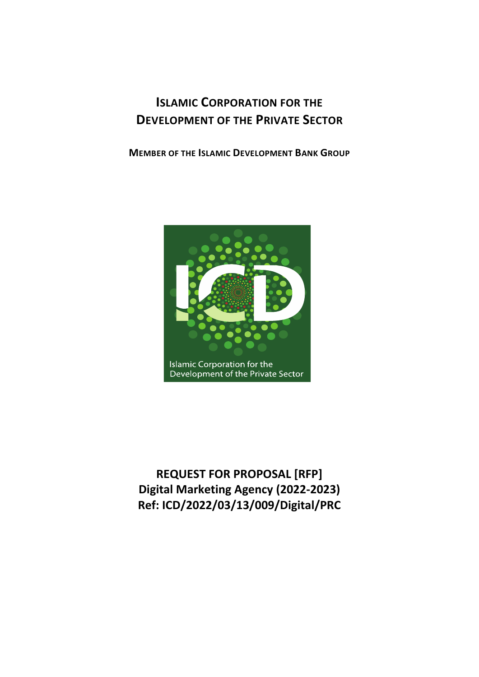# **ISLAMIC CORPORATION FOR THE DEVELOPMENT OF THE PRIVATE SECTOR**

**MEMBER OF THE ISLAMIC DEVELOPMENT BANK GROUP**



**REQUEST FOR PROPOSAL [RFP] Digital Marketing Agency (2022-2023) Ref: ICD/2022/03/13/009/Digital/PRC**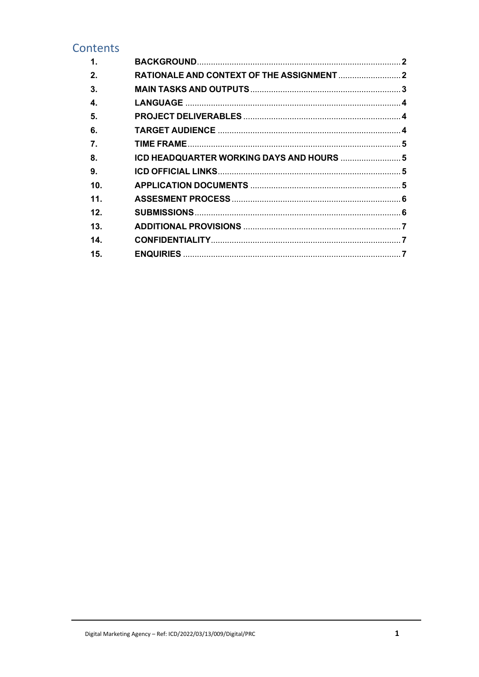## Contents

| 1.               |                                           |  |
|------------------|-------------------------------------------|--|
| 2.               |                                           |  |
| 3.               |                                           |  |
| 4.               |                                           |  |
| 5.               |                                           |  |
| 6.               |                                           |  |
| $\overline{7}$ . |                                           |  |
| 8.               | ICD HEADQUARTER WORKING DAYS AND HOURS  5 |  |
| 9.               |                                           |  |
| 10 <sub>1</sub>  |                                           |  |
| 11 <sub>1</sub>  |                                           |  |
| 12.              |                                           |  |
| 13.              |                                           |  |
| 14.              |                                           |  |
| 15.              |                                           |  |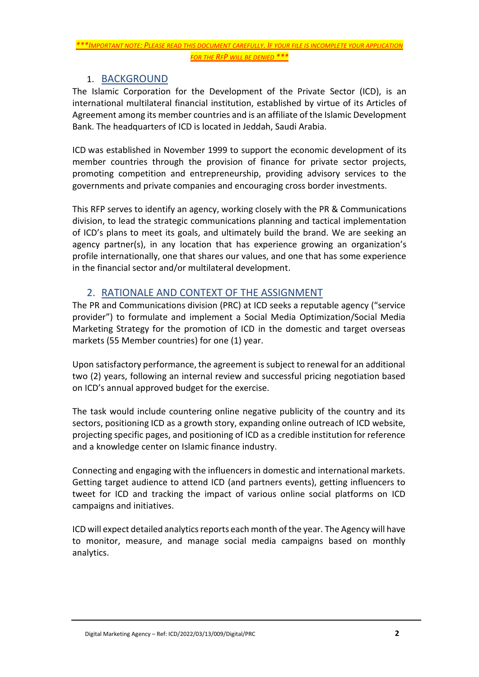*\*\*\*IMPORTANT NOTE: PLEASE READ THIS DOCUMENT CAREFULLY. IF YOUR FILE IS INCOMPLETE YOUR APPLICATION FOR THE RFP WILL BE DENIED \*\*\**

#### 1. BACKGROUND

<span id="page-2-0"></span>The Islamic Corporation for the Development of the Private Sector (ICD), is an international multilateral financial institution, established by virtue of its Articles of Agreement among its member countries and is an affiliate of the Islamic Development Bank. The headquarters of ICD is located in Jeddah, Saudi Arabia.

ICD was established in November 1999 to support the economic development of its member countries through the provision of finance for private sector projects, promoting competition and entrepreneurship, providing advisory services to the governments and private companies and encouraging cross border investments.

This RFP serves to identify an agency, working closely with the PR & Communications division, to lead the strategic communications planning and tactical implementation of ICD's plans to meet its goals, and ultimately build the brand. We are seeking an agency partner(s), in any location that has experience growing an organization's profile internationally, one that shares our values, and one that has some experience in the financial sector and/or multilateral development.

### 2. RATIONALE AND CONTEXT OF THE ASSIGNMENT

<span id="page-2-1"></span>The PR and Communications division (PRC) at ICD seeks a reputable agency ("service provider") to formulate and implement a Social Media Optimization/Social Media Marketing Strategy for the promotion of ICD in the domestic and target overseas markets (55 Member countries) for one (1) year.

Upon satisfactory performance, the agreement is subject to renewal for an additional two (2) years, following an internal review and successful pricing negotiation based on ICD's annual approved budget for the exercise.

The task would include countering online negative publicity of the country and its sectors, positioning ICD as a growth story, expanding online outreach of ICD website, projecting specific pages, and positioning of ICD as a credible institution for reference and a knowledge center on Islamic finance industry.

Connecting and engaging with the influencers in domestic and international markets. Getting target audience to attend ICD (and partners events), getting influencers to tweet for ICD and tracking the impact of various online social platforms on ICD campaigns and initiatives.

ICD will expect detailed analytics reports each month of the year. The Agency will have to monitor, measure, and manage social media campaigns based on monthly analytics.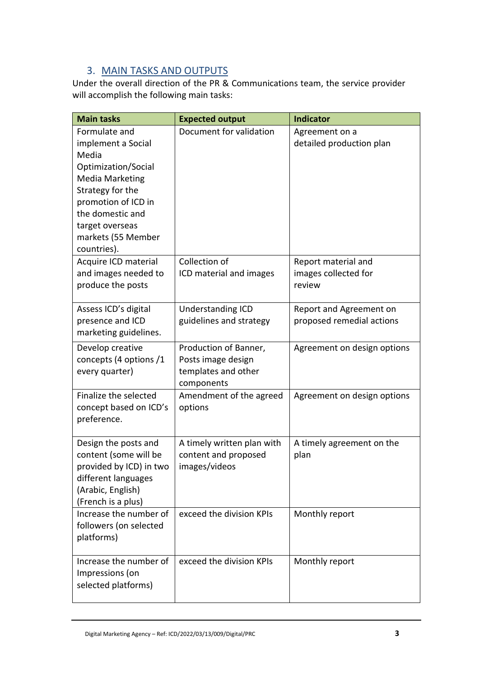## 3. MAIN TASKS AND OUTPUTS

<span id="page-3-0"></span>Under the overall direction of the PR & Communications team, the service provider will accomplish the following main tasks:

| <b>Main tasks</b>                                                                                                                                                                                                    | <b>Expected output</b>                                                           | <b>Indicator</b>                                      |  |
|----------------------------------------------------------------------------------------------------------------------------------------------------------------------------------------------------------------------|----------------------------------------------------------------------------------|-------------------------------------------------------|--|
| Formulate and<br>implement a Social<br>Media<br>Optimization/Social<br><b>Media Marketing</b><br>Strategy for the<br>promotion of ICD in<br>the domestic and<br>target overseas<br>markets (55 Member<br>countries). | Document for validation                                                          | Agreement on a<br>detailed production plan            |  |
| Acquire ICD material<br>and images needed to<br>produce the posts                                                                                                                                                    | Collection of<br>ICD material and images                                         | Report material and<br>images collected for<br>review |  |
| Assess ICD's digital<br>presence and ICD<br>marketing guidelines.                                                                                                                                                    | Understanding ICD<br>guidelines and strategy                                     | Report and Agreement on<br>proposed remedial actions  |  |
| Develop creative<br>concepts (4 options /1<br>every quarter)                                                                                                                                                         | Production of Banner,<br>Posts image design<br>templates and other<br>components | Agreement on design options                           |  |
| Finalize the selected<br>concept based on ICD's<br>preference.                                                                                                                                                       | Amendment of the agreed<br>options                                               | Agreement on design options                           |  |
| Design the posts and<br>content (some will be<br>provided by ICD) in two<br>different languages<br>(Arabic, English)<br>(French is a plus)                                                                           | A timely written plan with<br>content and proposed<br>images/videos              | A timely agreement on the<br>plan                     |  |
| Increase the number of<br>followers (on selected<br>platforms)                                                                                                                                                       | exceed the division KPIs                                                         | Monthly report                                        |  |
| Increase the number of<br>Impressions (on<br>selected platforms)                                                                                                                                                     | exceed the division KPIs                                                         | Monthly report                                        |  |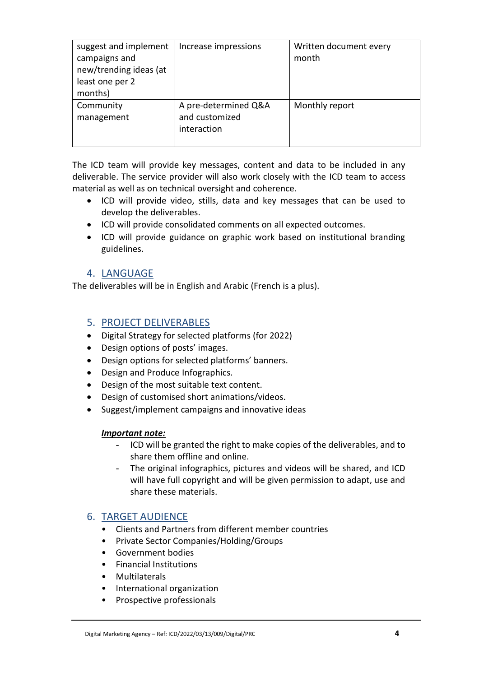| suggest and implement<br>campaigns and<br>new/trending ideas (at<br>least one per 2<br>months) | Increase impressions                                  | Written document every<br>month |
|------------------------------------------------------------------------------------------------|-------------------------------------------------------|---------------------------------|
| Community<br>management                                                                        | A pre-determined Q&A<br>and customized<br>interaction | Monthly report                  |

The ICD team will provide key messages, content and data to be included in any deliverable. The service provider will also work closely with the ICD team to access material as well as on technical oversight and coherence.

- ICD will provide video, stills, data and key messages that can be used to develop the deliverables.
- ICD will provide consolidated comments on all expected outcomes.
- ICD will provide guidance on graphic work based on institutional branding guidelines.

#### 4. LANGUAGE

<span id="page-4-0"></span>The deliverables will be in English and Arabic (French is a plus).

#### <span id="page-4-1"></span>5. PROJECT DELIVERABLES

- Digital Strategy for selected platforms (for 2022)
- Design options of posts' images.
- Design options for selected platforms' banners.
- Design and Produce Infographics.
- Design of the most suitable text content.
- Design of customised short animations/videos.
- Suggest/implement campaigns and innovative ideas

#### *Important note:*

- ICD will be granted the right to make copies of the deliverables, and to share them offline and online.
- The original infographics, pictures and videos will be shared, and ICD will have full copyright and will be given permission to adapt, use and share these materials.

#### <span id="page-4-2"></span>6. TARGET AUDIENCE

- Clients and Partners from different member countries
- Private Sector Companies/Holding/Groups
- Government bodies
- Financial Institutions
- Multilaterals
- International organization
- Prospective professionals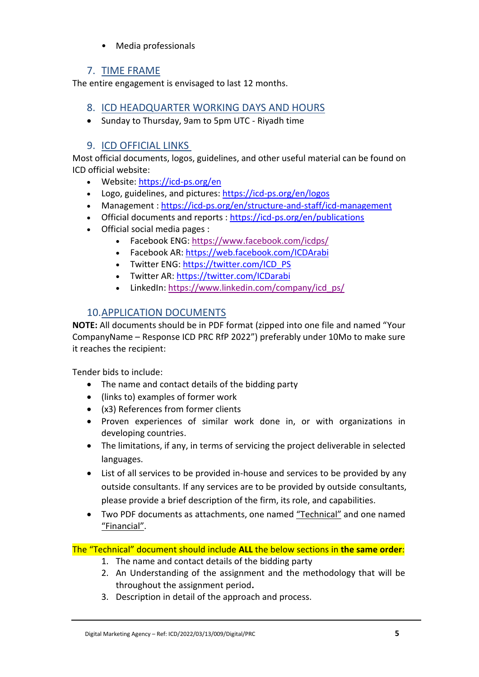• Media professionals

## 7. TIME FRAME

<span id="page-5-0"></span>The entire engagement is envisaged to last 12 months.

#### <span id="page-5-1"></span>8. ICD HEADQUARTER WORKING DAYS AND HOURS

• Sunday to Thursday, 9am to 5pm UTC - Riyadh time

### 9. ICD OFFICIAL LINKS

<span id="page-5-2"></span>Most official documents, logos, guidelines, and other useful material can be found on ICD official website:

- Website: <https://icd-ps.org/en>
- Logo, guidelines, and pictures: <https://icd-ps.org/en/logos>
- Management : <https://icd-ps.org/en/structure-and-staff/icd-management>
- Official documents and reports : <https://icd-ps.org/en/publications>
- Official social media pages :
	- Facebook ENG: <https://www.facebook.com/icdps/>
	- Facebook AR: <https://web.facebook.com/ICDArabi>
	- Twitter ENG: [https://twitter.com/ICD\\_PS](https://twitter.com/ICD_PS)
	- Twitter AR: <https://twitter.com/ICDarabi>
	- LinkedIn: [https://www.linkedin.com/company/icd\\_ps/](https://www.linkedin.com/company/icd_ps/)

## 10.APPLICATION DOCUMENTS

<span id="page-5-3"></span>**NOTE:** All documents should be in PDF format (zipped into one file and named "Your CompanyName – Response ICD PRC RfP 2022") preferably under 10Mo to make sure it reaches the recipient:

Tender bids to include:

- The name and contact details of the bidding party
- (links to) examples of former work
- (x3) References from former clients
- Proven experiences of similar work done in, or with organizations in developing countries.
- The limitations, if any, in terms of servicing the project deliverable in selected languages.
- List of all services to be provided in-house and services to be provided by any outside consultants. If any services are to be provided by outside consultants, please provide a brief description of the firm, its role, and capabilities.
- Two PDF documents as attachments, one named "Technical" and one named "Financial".

The "Technical" document should include **ALL** the below sections in **the same order**:

- 1. The name and contact details of the bidding party
- 2. An Understanding of the assignment and the methodology that will be throughout the assignment period**.**
- 3. Description in detail of the approach and process.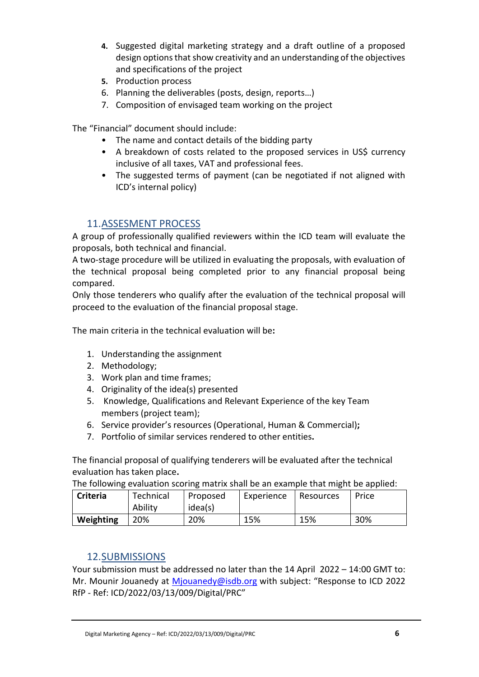- **4.** Suggested digital marketing strategy and a draft outline of a proposed design options that show creativity and an understanding of the objectives and specifications of the project
- **5.** Production process
- 6. Planning the deliverables (posts, design, reports…)
- 7. Composition of envisaged team working on the project

The "Financial" document should include:

- The name and contact details of the bidding party
- A breakdown of costs related to the proposed services in US\$ currency inclusive of all taxes, VAT and professional fees.
- The suggested terms of payment (can be negotiated if not aligned with ICD's internal policy)

#### 11.ASSESMENT PROCESS

<span id="page-6-0"></span>A group of professionally qualified reviewers within the ICD team will evaluate the proposals, both technical and financial.

A two-stage procedure will be utilized in evaluating the proposals, with evaluation of the technical proposal being completed prior to any financial proposal being compared.

Only those tenderers who qualify after the evaluation of the technical proposal will proceed to the evaluation of the financial proposal stage.

The main criteria in the technical evaluation will be **:**

- 1. Understanding the assignment
- 2. Methodology;
- 3. Work plan and time frames;
- 4. Originality of the idea(s) presented
- 5. Knowledge, Qualifications and Relevant Experience of the key Team members (project team);
- 6. Service provider's resources (Operational, Human & Commercial) **;**
- 7. Portfolio of similar services rendered to other entities **.**

The financial proposal of qualifying tenderers will be evaluated after the technical evaluation has taken place**.**

The following evaluation scoring matrix shall be an example that might be applied:

| <b>Criteria</b> | Technical<br>Ability | Proposed<br>idea(s) | Experience | Resources | Price |
|-----------------|----------------------|---------------------|------------|-----------|-------|
| Weighting       | 20%                  | 20%                 | 15%        | 15%       | 30%   |

#### 12.SUBMISSIONS

<span id="page-6-1"></span>Your submission must be addressed no later than the 14 April 2022 – 14:00 GMT to: Mr. Mounir Jouanedy at [Mjouanedy@isdb.org](mailto:Mjouanedy@isdb.org) with subject: "Response to ICD 2022 RfP - Ref: ICD/2022/03/13/009/Digital/PRC"